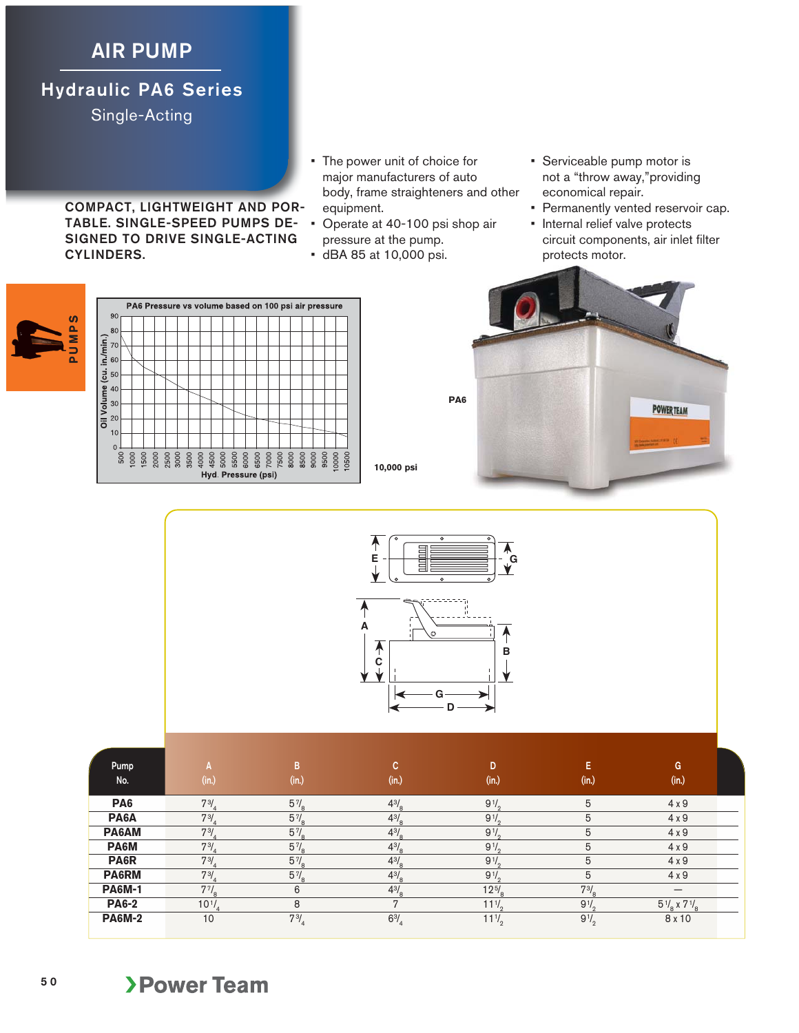**AIR PUMP**

## **Hydraulic PA6 Series**

Single-Acting

**COMPACT, LIGHTWEIGHT AND POR-TABLE. SINGLE-SPEED PUMPS DE-**• Operate at 40-100 psi shop air **SIGNED TO DRIVE SINGLE-ACTING CYLINDERS.**

- The power unit of choice for major manufacturers of auto body, frame straighteners and other equipment.
- pressure at the pump.
- dBA 85 at 10,000 psi.
- Serviceable pump motor is not a "throw away,"providing economical repair.
- Permanently vented reservoir cap.

**POWER TEAM** 

• Internal relief valve protects circuit components, air inlet filter protects motor.



|                          |             |         |                            |  |  |  |                     |  |  |  |              |      | PA6 Pressure vs volume based on 100 psi air pressure |       |  |
|--------------------------|-------------|---------|----------------------------|--|--|--|---------------------|--|--|--|--------------|------|------------------------------------------------------|-------|--|
|                          | 90          |         |                            |  |  |  |                     |  |  |  |              |      |                                                      |       |  |
|                          | 80          |         |                            |  |  |  |                     |  |  |  |              |      |                                                      |       |  |
|                          | 70          |         |                            |  |  |  |                     |  |  |  |              |      |                                                      |       |  |
|                          | 60          |         |                            |  |  |  |                     |  |  |  |              |      |                                                      |       |  |
| Oil Volume (cu. in/min.) | 50          |         |                            |  |  |  |                     |  |  |  |              |      |                                                      |       |  |
|                          | 40          |         |                            |  |  |  |                     |  |  |  |              |      |                                                      |       |  |
|                          | 30          |         |                            |  |  |  |                     |  |  |  |              |      |                                                      |       |  |
|                          | 20          |         |                            |  |  |  |                     |  |  |  |              |      |                                                      |       |  |
|                          | 10          |         |                            |  |  |  |                     |  |  |  |              |      |                                                      |       |  |
|                          | $\mathbf 0$ |         |                            |  |  |  |                     |  |  |  |              |      |                                                      |       |  |
|                          |             | $500 +$ | $1000$<br>$1500$<br>$2000$ |  |  |  | Hyd. Pressure (psi) |  |  |  | 8500<br>9000 | 9500 |                                                      | 10000 |  |
|                          |             |         |                            |  |  |  |                     |  |  |  |              |      |                                                      |       |  |

**10,000 psi** 



**PA6**

**G D**

| Pump<br>No.     | (in.)          | B<br>(in.)     | c<br>(in.)       | D<br>(in.)      | E<br>(in.)       | G<br>(in.)                       |
|-----------------|----------------|----------------|------------------|-----------------|------------------|----------------------------------|
| PA <sub>6</sub> | $7^{3/2}$      | $5\%$          | $4^{3}/$         | $9^{1/2}$       | 5                | 4x9                              |
| PA6A            | $7^{3/7}$      | $5\%$          | $4^{3}/_{\circ}$ | $9^{1/2}$       | 5                | 4x9                              |
| PA6AM           | $7^{3}/_{4}$   | $5\frac{7}{8}$ | $4^{3}/_{\circ}$ | $9\frac{1}{2}$  | 5                | 4x9                              |
| PA6M            | $7^{3}/_{4}$   | $5\frac{7}{8}$ | $4^{3}/_{\circ}$ | $9^{1/2}$       | 5                | 4x9                              |
| PA6R            | $7^{3/4}$      | $5\frac{7}{8}$ | $4^{3}/_{\circ}$ | $9^{1/2}$       | 5                | $4 \times 9$                     |
| <b>PA6RM</b>    | $7^{3}/_{4}$   | $5\%$          | $4^{3}/_{\circ}$ | $9\frac{1}{2}$  | 5                | 4x9                              |
| <b>PA6M-1</b>   | $7\frac{7}{8}$ | 6              | $4^{3}/_{\circ}$ | $12\frac{5}{6}$ | $7^{3}/_{\circ}$ | —                                |
| <b>PA6-2</b>    | $10^{1}$ /     | 8              | $\overline{ }$   | $11\frac{1}{2}$ | $9^{1/2}$        | $5\frac{1}{8}$ x 7 $\frac{1}{8}$ |
| <b>PA6M-2</b>   | 10             | $7\frac{3}{4}$ | $6^{3}/_{4}$     | $11^{1/2}$      | $9\frac{1}{2}$   | 8 x 10                           |